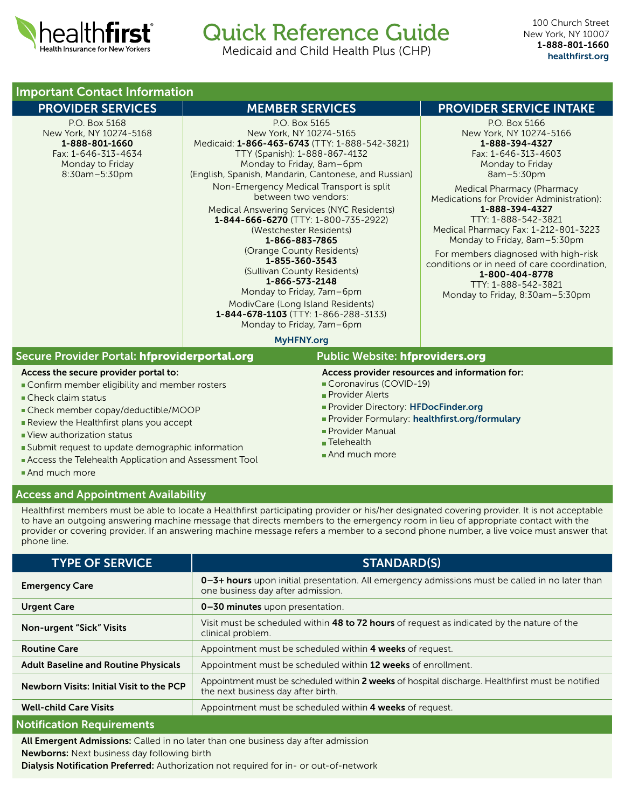

# Quick Reference Guide

Medicaid and Child Health Plus (CHP)

# Important Contact Information

P.O. Box 5168 New York, NY 10274-5168 1-888-801-1660 Fax: 1-646-313-4634 Monday to Friday 8:30am–5:30pm

P.O. Box 5165 New York, NY 10274-5165 Medicaid: 1-866-463-6743 (TTY: 1-888-542-3821) TTY (Spanish): 1-888-867-4132 Monday to Friday, 8am–6pm (English, Spanish, Mandarin, Cantonese, and Russian) Non-Emergency Medical Transport is split between two vendors: Medical Answering Services (NYC Residents)

1-844-666-6270 (TTY: 1-800-735-2922) (Westchester Residents) 1-866-883-7865 (Orange County Residents)

1-855-360-3543 (Sullivan County Residents)

1-866-573-2148

Monday to Friday, 7am–6pm ModivCare (Long Island Residents) 1-844-678-1103 (TTY: 1-866-288-3133) Monday to Friday, 7am–6pm

## PROVIDER SERVICES THE MEMBER SERVICES THE PROVIDER SERVICE INTAKE

P.O. Box 5166 New York, NY 10274-5166 1-888-394-4327 Fax: 1-646-313-4603 Monday to Friday 8am–5:30pm

Medical Pharmacy (Pharmacy Medications for Provider Administration): 1-888-394-4327 TTY: 1-888-542-3821

Medical Pharmacy Fax: 1-212-801-3223 Monday to Friday, 8am–5:30pm

For members diagnosed with high-risk conditions or in need of care coordination, 1-800-404-8778 TTY: 1-888-542-3821

Monday to Friday, 8:30am–5:30pm

#### MyHFNY org

| Secure Provider Portal: hfproviderportal.org<br><b>Public Website: hfproviders.org</b><br>Access provider resources and information for:<br>Access the secure provider portal to:<br>Coronavirus (COVID-19)<br>Confirm member eligibility and member rosters<br><b>Provider Alerts</b><br>$\blacksquare$ Check claim status<br>Provider Directory: HFDocFinder.org<br>■ Check member copay/deductible/MOOP<br>Provider Formulary: healthfirst.org/formulary<br>Review the Healthfirst plans you accept<br>Provider Manual<br>View authorization status<br>$\blacksquare$ Telehealth<br>Submit request to update demographic information<br>And much more<br>Access the Telehealth Application and Assessment Tool<br>And much more |  |  |  |
|------------------------------------------------------------------------------------------------------------------------------------------------------------------------------------------------------------------------------------------------------------------------------------------------------------------------------------------------------------------------------------------------------------------------------------------------------------------------------------------------------------------------------------------------------------------------------------------------------------------------------------------------------------------------------------------------------------------------------------|--|--|--|
|                                                                                                                                                                                                                                                                                                                                                                                                                                                                                                                                                                                                                                                                                                                                    |  |  |  |
|                                                                                                                                                                                                                                                                                                                                                                                                                                                                                                                                                                                                                                                                                                                                    |  |  |  |

#### Access and Appointment Availability

Healthfirst members must be able to locate a Healthfirst participating provider or his/her designated covering provider. It is not acceptable to have an outgoing answering machine message that directs members to the emergency room in lieu of appropriate contact with the provider or covering provider. If an answering machine message refers a member to a second phone number, a live voice must answer that phone line.

| <b>TYPE OF SERVICE</b>                      | <b>STANDARD(S)</b>                                                                                                                     |
|---------------------------------------------|----------------------------------------------------------------------------------------------------------------------------------------|
| <b>Emergency Care</b>                       | 0-3+ hours upon initial presentation. All emergency admissions must be called in no later than<br>one business day after admission.    |
| <b>Urgent Care</b>                          | 0-30 minutes upon presentation.                                                                                                        |
| <b>Non-urgent "Sick" Visits</b>             | Visit must be scheduled within 48 to 72 hours of request as indicated by the nature of the<br>clinical problem.                        |
| <b>Routine Care</b>                         | Appointment must be scheduled within 4 weeks of request.                                                                               |
| <b>Adult Baseline and Routine Physicals</b> | Appointment must be scheduled within 12 weeks of enrollment.                                                                           |
| Newborn Visits: Initial Visit to the PCP    | Appointment must be scheduled within 2 weeks of hospital discharge. Healthfirst must be notified<br>the next business day after birth. |
| <b>Well-child Care Visits</b>               | Appointment must be scheduled within 4 weeks of request.                                                                               |
| <b>Notification Requirements</b>            |                                                                                                                                        |

### All Emergent Admissions: Called in no later than one business day after admission Newborns: Next business day following birth

Dialysis Notification Preferred: Authorization not required for in- or out-of-network